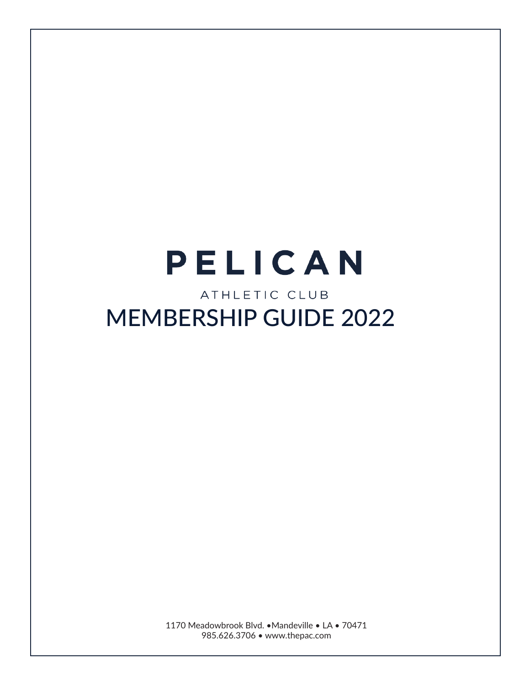# PELICAN ATHLETIC CLUB MEMBERSHIP GUIDE 2022

1170 Meadowbrook Blvd. •Mandeville • LA • 70471 985.626.3706 • www.thepac.com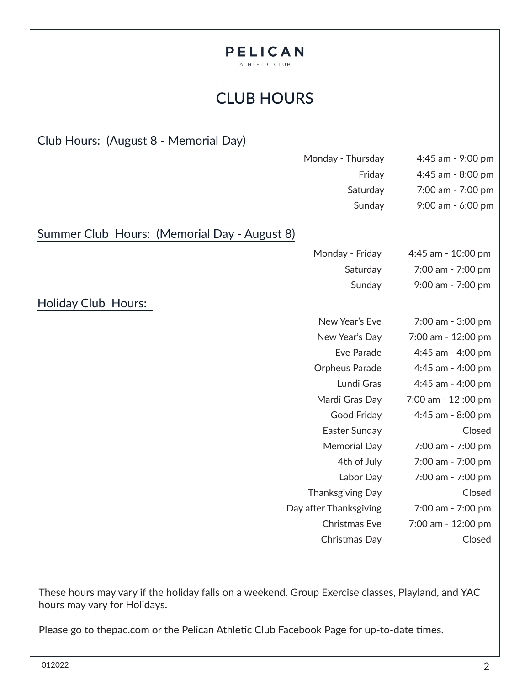#### PELICAN ATHLETIC CLUB

# CLUB HOURS

#### Club Hours: (August 8 - Memorial Day)

|                                              | Monday - Thursday      | 4:45 am - 9:00 pm  |
|----------------------------------------------|------------------------|--------------------|
|                                              | Friday                 | 4:45 am - 8:00 pm  |
|                                              | Saturday               | 7:00 am - 7:00 pm  |
|                                              | Sunday                 | 9:00 am - 6:00 pm  |
| Summer Club Hours: (Memorial Day - August 8) |                        |                    |
|                                              | Monday - Friday        | 4:45 am - 10:00 pm |
|                                              | Saturday               | 7:00 am - 7:00 pm  |
|                                              | Sunday                 | 9:00 am - 7:00 pm  |
| <b>Holiday Club Hours:</b>                   |                        |                    |
|                                              | New Year's Eve         | 7:00 am - 3:00 pm  |
|                                              | New Year's Day         | 7:00 am - 12:00 pm |
|                                              | Eve Parade             | 4:45 am - 4:00 pm  |
|                                              | <b>Orpheus Parade</b>  | 4:45 am - 4:00 pm  |
|                                              | Lundi Gras             | 4:45 am - 4:00 pm  |
|                                              | Mardi Gras Day         | 7:00 am - 12:00 pm |
|                                              | Good Friday            | 4:45 am - 8:00 pm  |
|                                              | Easter Sunday          | Closed             |
|                                              | <b>Memorial Day</b>    | 7:00 am - 7:00 pm  |
|                                              | 4th of July            | 7:00 am - 7:00 pm  |
|                                              | Labor Day              | 7:00 am - 7:00 pm  |
|                                              | Thanksgiving Day       | Closed             |
|                                              | Day after Thanksgiving | 7:00 am - 7:00 pm  |
|                                              | <b>Christmas Eve</b>   | 7:00 am - 12:00 pm |
|                                              | Christmas Day          | Closed             |
|                                              |                        |                    |

These hours may vary if the holiday falls on a weekend. Group Exercise classes, Playland, and YAC hours may vary for Holidays.

Please go to thepac.com or the Pelican Athletic Club Facebook Page for up-to-date times.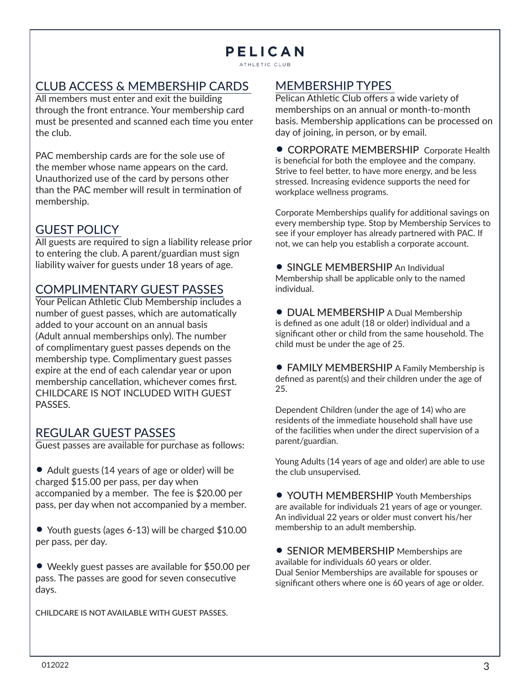ATHLETIC CLUB

#### CLUB ACCESS & MEMBERSHIP CARDS

All members must enter and exit the building through the front entrance. Your membership card must be presented and scanned each time you enter the club.

PAC membership cards are for the sole use of the member whose name appears on the card. Unauthorized use of the card by persons other than the PAC member will result in termination of membership.

#### GUEST POLICY

All guests are required to sign a liability release prior to entering the club. A parent/guardian must sign liability waiver for guests under 18 years of age.

#### COMPLIMENTARY GUEST PASSES

Your Pelican Athletic Club Membership includes a number of guest passes, which are automatically added to your account on an annual basis (Adult annual memberships only). The number of complimentary guest passes depends on the membership type. Complimentary guest passes expire at the end of each calendar year or upon membership cancellation, whichever comes first. CHILDCARE IS NOT INCLUDED WITH GUEST PASSES.

#### REGULAR GUEST PASSES

Guest passes are available for purchase as follows:

• Adult guests (14 years of age or older) will be charged \$15.00 per pass, per day when accompanied by a member. The fee is \$20.00 per pass, per day when not accompanied by a member.

• Youth guests (ages 6-13) will be charged \$10.00 per pass, per day.

• Weekly guest passes are available for \$50.00 per pass. The passes are good for seven consecutive days.

CHILDCARE IS NOT AVAILABLE WITH GUEST PASSES.

#### MEMBERSHIP TYPES

Pelican Athletic Club offers a wide variety of memberships on an annual or month-to-month basis. Membership applications can be processed on day of joining, in person, or by email.

• CORPORATE MEMBERSHIP Corporate Health is beneficial for both the employee and the company. Strive to feel better, to have more energy, and be less stressed. Increasing evidence supports the need for workplace wellness programs.

Corporate Memberships qualify for additional savings on every membership type. Stop by Membership Services to see if your employer has already partnered with PAC. If not, we can help you establish a corporate account.

• SINGLE MEMBERSHIP An Individual Membership shall be applicable only to the named individual.

• DUAL MEMBERSHIP A Dual Membership is defined as one adult (18 or older) individual and a significant other or child from the same household. The child must be under the age of 25.

• FAMILY MEMBERSHIP A Family Membership is defined as parent(s) and their children under the age of 25.

Dependent Children (under the age of 14) who are residents of the immediate household shall have use of the facilities when under the direct supervision of a parent/guardian.

Young Adults (14 years of age and older) are able to use the club unsupervised.

• YOUTH MEMBERSHIP Youth Memberships are available for individuals 21 years of age or younger. An individual 22 years or older must convert his/her membership to an adult membership.

• SENIOR MEMBERSHIP Memberships are available for individuals 60 years or older. Dual Senior Memberships are available for spouses or significant others where one is 60 years of age or older.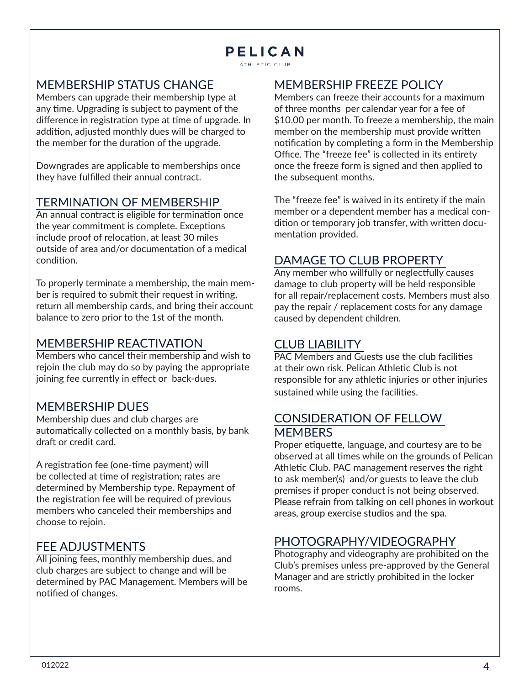ATHLETIC CLUB

#### MEMBERSHIP STATUS CHANGE

Members can upgrade their membership type at any time. Upgrading is subject to payment of the difference in registration type at time of upgrade. In addition, adjusted monthly dues will be charged to the member for the duration of the upgrade.

Downgrades are applicable to memberships once they have fulfilled their annual contract.

#### TERMINATION OF MEMBERSHIP

An annual contract is eligible for termination once the year commitment is complete. Exceptions include proof of relocation, at least 30 miles outside of area and/or documentation of a medical condition.

To properly terminate a membership, the main member is required to submit their request in writing, return all membership cards, and bring their account balance to zero prior to the 1st of the month.

#### MEMBERSHIP REACTIVATION

Members who cancel their membership and wish to rejoin the club may do so by paying the appropriate joining fee currently in effect or back-dues.

#### MEMBERSHIP DUES

Membership dues and club charges are automatically collected on a monthly basis, by bank draft or credit card.

A registration fee (one-time payment) will be collected at time of registration; rates are determined by Membership type. Repayment of the registration fee will be required of previous members who canceled their memberships and choose to rejoin.

#### FEE ADJUSTMENTS

All joining fees, monthly membership dues, and club charges are subject to change and will be determined by PAC Management. Members will be notified of changes.

#### MEMBERSHIP FREEZE POLICY

Members can freeze their accounts for a maximum of three months per calendar year for a fee of \$10.00 per month. To freeze a membership, the main member on the membership must provide written notification by completing a form in the Membership Office. The "freeze fee" is collected in its entirety once the freeze form is signed and then applied to the subsequent months.

The "freeze fee" is waived in its entirety if the main member or a dependent member has a medical condition or temporary job transfer, with written documentation provided.

#### DAMAGE TO CLUB PROPERTY

Any member who willfully or neglectfully causes damage to club property will be held responsible for all repair/replacement costs. Members must also pay the repair / replacement costs for any damage caused by dependent children.

#### CLUB LIABILITY

PAC Members and Guests use the club facilities at their own risk. Pelican Athletic Club is not responsible for any athletic injuries or other injuries sustained while using the facilities.

#### CONSIDERATION OF FELLOW **MEMBERS**

Proper etiquette, language, and courtesy are to be observed at all times while on the grounds of Pelican Athletic Club. PAC management reserves the right to ask member(s) and/or guests to leave the club premises if proper conduct is not being observed. Please refrain from talking on cell phones in workout areas, group exercise studios and the spa.

#### PHOTOGRAPHY/VIDEOGRAPHY

Photography and videography are prohibited on the Club's premises unless pre-approved by the General Manager and are strictly prohibited in the locker rooms.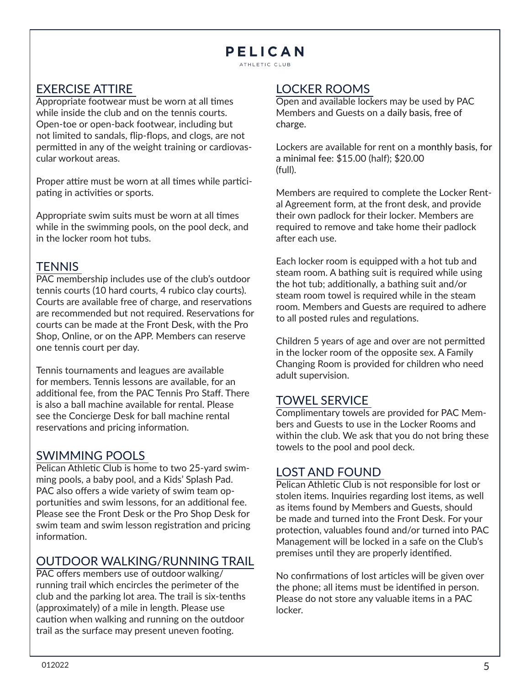ATHLETIC CLUB

#### EXERCISE ATTIRE

Appropriate footwear must be worn at all times while inside the club and on the tennis courts. Open-toe or open-back footwear, including but not limited to sandals, flip-flops, and clogs, are not permitted in any of the weight training or cardiovascular workout areas.

Proper attire must be worn at all times while participating in activities or sports.

Appropriate swim suits must be worn at all times while in the swimming pools, on the pool deck, and in the locker room hot tubs.

#### **TENNIS**

PAC membership includes use of the club's outdoor tennis courts (10 hard courts, 4 rubico clay courts). Courts are available free of charge, and reservations are recommended but not required. Reservations for courts can be made at the Front Desk, with the Pro Shop, Online, or on the APP. Members can reserve one tennis court per day.

Tennis tournaments and leagues are available for members. Tennis lessons are available, for an additional fee, from the PAC Tennis Pro Staff. There is also a ball machine available for rental. Please see the Concierge Desk for ball machine rental reservations and pricing information.

#### SWIMMING POOLS

Pelican Athletic Club is home to two 25-yard swimming pools, a baby pool, and a Kids' Splash Pad. PAC also offers a wide variety of swim team opportunities and swim lessons, for an additional fee. Please see the Front Desk or the Pro Shop Desk for swim team and swim lesson registration and pricing information.

#### OUTDOOR WALKING/RUNNING TRAIL

PAC offers members use of outdoor walking/ running trail which encircles the perimeter of the club and the parking lot area. The trail is six-tenths (approximately) of a mile in length. Please use caution when walking and running on the outdoor trail as the surface may present uneven footing.

#### LOCKER ROOMS

Open and available lockers may be used by PAC Members and Guests on a daily basis, free of charge.

Lockers are available for rent on a monthly basis, for a minimal fee: \$15.00 (half); \$20.00 (full).

Members are required to complete the Locker Rental Agreement form, at the front desk, and provide their own padlock for their locker. Members are required to remove and take home their padlock after each use.

Each locker room is equipped with a hot tub and steam room. A bathing suit is required while using the hot tub; additionally, a bathing suit and/or steam room towel is required while in the steam room. Members and Guests are required to adhere to all posted rules and regulations.

Children 5 years of age and over are not permitted in the locker room of the opposite sex. A Family Changing Room is provided for children who need adult supervision.

#### TOWEL SERVICE

Complimentary towels are provided for PAC Members and Guests to use in the Locker Rooms and within the club. We ask that you do not bring these towels to the pool and pool deck.

#### LOST AND FOUND

Pelican Athletic Club is not responsible for lost or stolen items. Inquiries regarding lost items, as well as items found by Members and Guests, should be made and turned into the Front Desk. For your protection, valuables found and/or turned into PAC Management will be locked in a safe on the Club's premises until they are properly identified.

No confirmations of lost articles will be given over the phone; all items must be identified in person. Please do not store any valuable items in a PAC locker.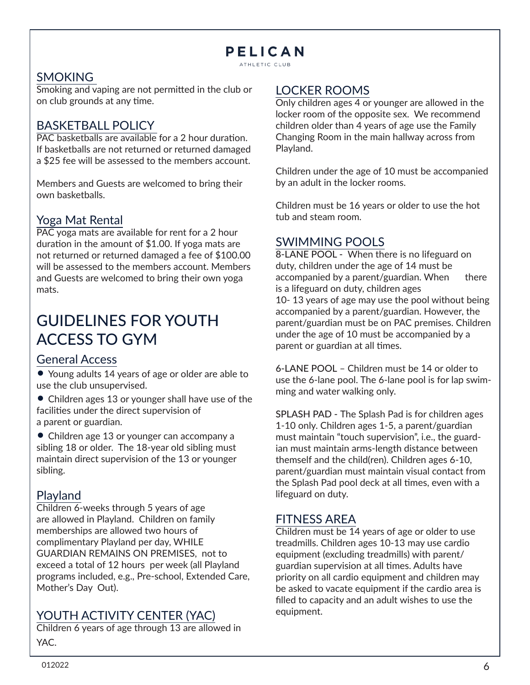ATHLETIC CLUB

#### SMOKING

Smoking and vaping are not permitted in the club or on club grounds at any time.

#### BASKETBALL POLICY

PAC basketballs are available for a 2 hour duration. If basketballs are not returned or returned damaged a \$25 fee will be assessed to the members account.

Members and Guests are welcomed to bring their own basketballs.

#### Yoga Mat Rental

PAC yoga mats are available for rent for a 2 hour duration in the amount of \$1.00. If yoga mats are not returned or returned damaged a fee of \$100.00 will be assessed to the members account. Members and Guests are welcomed to bring their own yoga mats.

# GUIDELINES FOR YOUTH ACCESS TO GYM

#### General Access

• Young adults 14 years of age or older are able to use the club unsupervised.

• Children ages 13 or younger shall have use of the facilities under the direct supervision of a parent or guardian.

• Children age 13 or younger can accompany a sibling 18 or older. The 18-year old sibling must maintain direct supervision of the 13 or younger sibling.

#### Playland

Children 6-weeks through 5 years of age are allowed in Playland. Children on family memberships are allowed two hours of complimentary Playland per day, WHILE GUARDIAN REMAINS ON PREMISES, not to exceed a total of 12 hours per week (all Playland programs included, e.g., Pre-school, Extended Care, Mother's Day Out).

#### YOUTH ACTIVITY CENTER (YAC)

Children 6 years of age through 13 are allowed in YAC.

#### LOCKER ROOMS

Only children ages 4 or younger are allowed in the locker room of the opposite sex. We recommend children older than 4 years of age use the Family Changing Room in the main hallway across from Playland.

Children under the age of 10 must be accompanied by an adult in the locker rooms.

Children must be 16 years or older to use the hot tub and steam room.

#### SWIMMING POOLS

8-LANE POOL - When there is no lifeguard on duty, children under the age of 14 must be accompanied by a parent/guardian. When there is a lifeguard on duty, children ages 10- 13 years of age may use the pool without being accompanied by a parent/guardian. However, the parent/guardian must be on PAC premises. Children under the age of 10 must be accompanied by a parent or guardian at all times.

6-LANE POOL – Children must be 14 or older to use the 6-lane pool. The 6-lane pool is for lap swimming and water walking only.

SPLASH PAD - The Splash Pad is for children ages 1-10 only. Children ages 1-5, a parent/guardian must maintain "touch supervision", i.e., the guardian must maintain arms-length distance between themself and the child(ren). Children ages 6-10, parent/guardian must maintain visual contact from the Splash Pad pool deck at all times, even with a lifeguard on duty.

#### FITNESS AREA

Children must be 14 years of age or older to use treadmills. Children ages 10-13 may use cardio equipment (excluding treadmills) with parent/ guardian supervision at all times. Adults have priority on all cardio equipment and children may be asked to vacate equipment if the cardio area is filled to capacity and an adult wishes to use the equipment.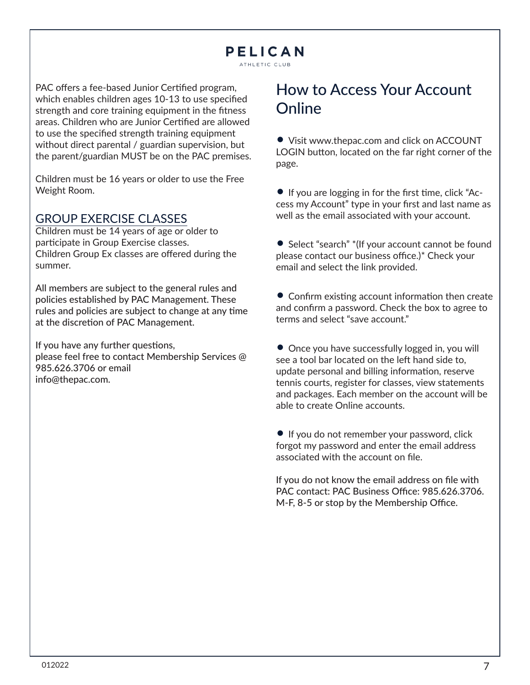ATHLETIC CLUB

PAC offers a fee-based Junior Certified program, which enables children ages 10-13 to use specified strength and core training equipment in the fitness areas. Children who are Junior Certified are allowed to use the specified strength training equipment without direct parental / guardian supervision, but the parent/guardian MUST be on the PAC premises.

Children must be 16 years or older to use the Free Weight Room.

#### GROUP EXERCISE CLASSES

Children must be 14 years of age or older to participate in Group Exercise classes. Children Group Ex classes are offered during the summer.

All members are subject to the general rules and policies established by PAC Management. These rules and policies are subject to change at any time at the discretion of PAC Management.

If you have any further questions, please feel free to contact Membership Services @ 985.626.3706 or email info@thepac.com.

# How to Access Your Account **Online**

• Visit www.thepac.com and click on ACCOUNT LOGIN button, located on the far right corner of the page.

• If you are logging in for the first time, click "Access my Account" type in your first and last name as well as the email associated with your account.

• Select "search" \* (If your account cannot be found please contact our business office.)\* Check your email and select the link provided.

• Confirm existing account information then create and confirm a password. Check the box to agree to terms and select "save account."

• Once you have successfully logged in, you will see a tool bar located on the left hand side to, update personal and billing information, reserve tennis courts, register for classes, view statements and packages. Each member on the account will be able to create Online accounts.

• If you do not remember your password, click forgot my password and enter the email address associated with the account on file.

If you do not know the email address on file with PAC contact: PAC Business Office: 985.626.3706. M-F, 8-5 or stop by the Membership Office.